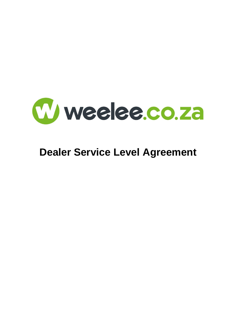

# **Dealer Service Level Agreement**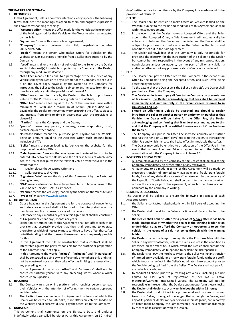#### **THE PARTIES AGREE THAT –**

#### 1. **DEFINITIONS**

In this Agreement, unless a contrary intention clearly appears, the following terms shall bear the meanings assigned to them and cognate expressions shall have corresponding meanings –

- 1.1. "**Accepted Offer**" means the Offer made for the Vehicle at the expiration of the bidding period for that Vehicle on the Website which as accepted by the Seller.
- 1.2. "**Agreement**" means this service level agreement;
- 1.3. "**Company**" means Weelee Pty Ltd, registration number 2013/207927/07;
- 1.4. "**Dealer**" means the person who makes Offers for Vehicles on the Website and/or purchases a Vehicle from a Seller introduced to by the Company;
- 1.5. "**Lead**" means all or any sale(s) of vehicle(s) to the Seller by the Dealer and includes lead(s) for vehicles supplied by the Company to the Dealer, through any medium whatsoever;
- 1.6. "**Lead Fee**" means a fee equal to a percentage of the sale price of any vehicle sold by the Dealer to any customer of the Company as set out in 6 on the cover page, payable by the Dealer to the Company for introducing the Seller to the Dealer, subject to any increase from time to time in accordance with the provisions of clause [6.5](#page-1-0)
- 1.7. "**Offer**" means an offer made by the Dealer to the Seller to purchase a Vehicle for the Purchase Price placing bids on the Website;
- 1.8. "**Offer Fee**" means a fee equal to 3.75% of the Purchase Price with a minimum of R5250 and a maximum of R25000 (all including VAT), payable by the Dealer to the Company for procuring the Offer, subject to any increase from time to time in accordance with the provisions of claus[e 6.5;](#page-1-0)
- 1.9. "**Parties**" means the Company and the Dealer;
- 1.10. "**person**" means any person, company, close corporation, trust, partnership or other entity;
- 1.11. "**Purchase Price**" means the purchase price payable for the Vehicle, being an amount equal to the Accepted Offer, such amount being inclusive of VAT;
- 1.12. "**Seller**" means a person loading its Vehicle on the Website for the purposes of receiving Offers;
- 1.13. "**Sale Agreement**" means the sale agreement entered into or to be entered into between the Dealer and the Seller in terms of which, *inter alia*, the Dealer shall purchase the relevant Vehicle from the Seller, in the event that the –
- 1.13.1. Dealer places the Accepted Offer; and
- 1.13.2. Seller accepts such Offer;
- 1.14. "**Signature Date**" means the date of this Agreement by the Party last signing in time;
- 1.15. "**VAT**" means value-added tax as levied from time to time in terms of the Value-Added Tax Act, 1991, as amended;
- 1.16. "**Vehicle**" means the vehicle(s) loaded by the Seller on the Website; and 1.17. "**Website**" means [www.weelee.co.za.](http://www.weelee.co.za/)

#### 2. **INTERPRETATION**

- 2.1. Clause headings in this Agreement are for the purpose of convenience and reference only and shall not be used in the interpretation of nor modify nor amplify its terms nor any of its clauses.
- 2.2. Reference to days, months or years in this Agreement shall be construed as Gregorian calendar days, months or years.
- 2.3. Expiration or termination of this Agreement shall not affect such of its provisions as expressly provide that they shall continue to operate thereafter or which of necessity must continue to have effect thereafter notwithstanding that the clauses themselves do not expressly provide for this.
- 2.4. In this Agreement the rule of construction that a contract shall be interpreted against the party responsible for the drafting or preparation of the contract, shall not apply.
- 2.5. In this Agreement the words "**include**", "**including**" and "**in particular**" shall be construed as being by way of example or emphasis only and shall not be construed nor shall they take effect as limiting the generality of any preceding words.
- 2.6. In this Agreement the words "**other**" and "**otherwise**" shall not be construed *eiusdem generis* with any preceding words where a wider construction is possible.

#### 3. **RECORDAL**

- 3.1. The Company runs an online platform which enables persons to load their Vehicles with the intention of offering them to certain approved vehicle traders.
- 3.2. The Parties hereby enter into this Agreement in terms of which the Dealer will be entitled to, *inter alia*, make Offers on Vehicles loaded on the Website and, if successful, shall pay the Offer Fee to the Company.

#### 4. **DURATION**

This Agreement shall commence on the Signature Date and endures indefinitely unless cancelled by either Party this Agreement on 30 (thirty)

days' written notice to the other or by the Company in accordance with the provisions of claus[e 11.](#page-2-0)

5. **OFFERS**

- 5.1. The Dealer shall be entitled to make Offers on Vehicles loaded on the Website, subject to the terms and conditions of this Agreement, as read with the Sale Agreement.
- 5.2. In the event that the Dealer makes a Accepted Offer, and the Seller accepts the Accepted Offer, a Sale Agreement will automatically be entered into between the Dealer and the Seller and the Dealer shall be obliged to purchase such Vehicle from the Seller on the terms and conditions set out in the Sale Agreement.
- 5.3. The Dealer acknowledges that the Company is only responsible for providing the platform for the introduction of the Sellers to the Dealer but cannot be held responsible in the event of any misrepresentation, nondisclosure and/or delinquency on the part of all or any Seller(s) and/or whether or not any proposed sale of a Vehicle is concluded.

#### 6. **FEES**

- <span id="page-1-1"></span>6.1. The Dealer shall pay the Offer Fee to the Company in the event of an Offer by the Dealer being the Accepted Offer, and such Offer being accepted by the Seller.
- <span id="page-1-2"></span>6.2. To the extent that the Dealer sells the Seller a vehicle(s), the Dealer shall pay the Lead Fee to the Company.
- **6.3. The Dealer undertakes to pay all fees to the Company on presentation of tax invoice, the Dealer acknowledging that fees shall be invoiced immediately and automatically in the circumstances referred to in clause[s 6.1](#page-1-1) an[d 6.2.](#page-1-2)**
- **6.4. Should an Offer on a Vehicle be accepted and should to Dealer introduce the Seller to another person or entity which purchases that Vehicle, the Dealer will be liable for the Offer Fee, the Dealer acknowledging and confirming that it understands and agrees to this and that the Company will be entitled to recovery such Offer Fee from the Dealer.**
- <span id="page-1-0"></span>6.5. The Company will put in an Offer Fee increase annually and further reserves the right, on 10 (ten) days' notice to the Dealer, to increase the Offer Fee and which increase shall take effect immediately thereafter.
- 6.6. The Dealer may only be entitled to a reduction of the Offer Fee in the event that a new Purchase Price is agreed to with the Seller in consultation with the Company in terms of clause 9.3.

#### 7. **INVOICING AND PAYMENT**

- 7.1. All amounts invoiced by the Company to the Dealer shall be paid to the Company immediately on presentation of any tax invoice.
- 7.2. All payments to be made in terms of this Agreement will be made by electronic transfer of immediately available and freely transferable funds, free of any deductions or set-off whatsoever, in the currency of the Republic of South Africa, and shall be paid into the bank account set out on the cover page of this agreement, or such other bank account nominate by the Company in writing.

#### <span id="page-1-3"></span>8. **DEALER'S OBLIGATIONS**

The Dealer shall be obliged to ensure the following in respect of each Accepted Offer:

- 8.1. the Seller is contacted telephonically within 12 hours of accepting the Offer;
- 8.2. the Dealer shall travel to the Seller at a time and place suitable to the Seller;
- 8.3. **the Dealer shall hold his offer for a period of 5 days after it has been made, irrespective of whether the dealer is the winning bidder or an underbidder, so as to afford the Company an opportunity to sell the vehicle in the event of a sale not going through with the winning bidder;**
- 8.4. the Dealer shall not attempt to renegotiate the Purchase Price with the Seller in anyway whatsoever, unless the vehicle is not in the condition as described on the Website, in which event the Dealer shall contact the Company immediately via telephone to explain the discrepancies;
- 8.5. the Dealer shall pay the Purchase Price to the Seller via instant transfer of immediately available and freely transferable funds without setoff, which funds shall reflect in the Seller's nominated bank account prior to the Vehicle being uplifted from the Seller. The Dealer shall not pay for any vehicle in cash; and
- 8.6. to conduct all checks prior to purchasing any vehicle, including but not limited to HPI, year of registration as per NATIS, active motorplan/warranty, trade/retail values. The Company will not be responsible in the event that the Dealer dopes not perform these checks;

#### 8.7. **the Dealer shall dealer stock any vehicle bought within 72 hours;**

8.8. the Dealer shall conduct itself in a professional and courteous manner towards to Seller, it being acknowledged that although the Dealer, and any of its partners, dealers and/or persons within its group, are in no way affiliated to the Company, the Company could incur reputational damage by means of its association with the Dealer.